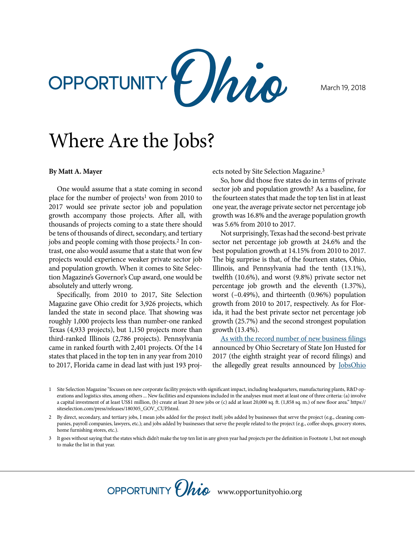

March 19, 2018

## Where Are the Jobs?

## **By Matt A. Mayer**

One would assume that a state coming in second place for the number of projects<sup>1</sup> won from 2010 to 2017 would see private sector job and population growth accompany those projects. After all, with thousands of projects coming to a state there should be tens of thousands of direct, secondary, and tertiary jobs and people coming with those projects.2 In contrast, one also would assume that a state that won few projects would experience weaker private sector job and population growth. When it comes to Site Selection Magazine's Governor's Cup award, one would be absolutely and utterly wrong.

Specifically, from 2010 to 2017, Site Selection Magazine gave Ohio credit for 3,926 projects, which landed the state in second place. That showing was roughly 1,000 projects less than number-one ranked Texas (4,933 projects), but 1,150 projects more than third-ranked Illinois (2,786 projects). Pennsylvania came in ranked fourth with 2,401 projects. Of the 14 states that placed in the top ten in any year from 2010 to 2017, Florida came in dead last with just 193 projects noted by Site Selection Magazine.3

So, how did those five states do in terms of private sector job and population growth? As a baseline, for the fourteen states that made the top ten list in at least one year, the average private sector net percentage job growth was 16.8% and the average population growth was 5.6% from 2010 to 2017.

Not surprisingly, Texas had the second-best private sector net percentage job growth at 24.6% and the best population growth at 14.15% from 2010 to 2017. The big surprise is that, of the fourteen states, Ohio, Illinois, and Pennsylvania had the tenth (13.1%), twelfth (10.6%), and worst (9.8%) private sector net percentage job growth and the eleventh (1.37%), worst (–0.49%), and thirteenth (0.96%) population growth from 2010 to 2017, respectively. As for Florida, it had the best private sector net percentage job growth (25.7%) and the second strongest population growth (13.4%).

[As with the record number of new business filings](http://www.cleveland.com/opinion/index.ssf/2018/01/increased_business_filings_in.html)  announced by Ohio Secretary of State Jon Husted for 2017 (the eighth straight year of record filings) and the allegedly great results announced by [JobsOhio](http://www.opportunityohio.org/questions/)



<sup>1</sup> Site Selection Magazine "focuses on new corporate facility projects with significant impact, including headquarters, manufacturing plants, R&D operations and logistics sites, among others ... New facilities and expansions included in the analyses must meet at least one of three criteria: (a) involve a capital investment of at least US\$1 million, (b) create at least 20 new jobs or (c) add at least 20,000 sq. ft. (1,858 sq. m.) of new floor area." https:// siteselection.com/press/releases/180305\_GOV\_CUP.html.

<sup>2</sup> By direct, secondary, and tertiary jobs, I mean jobs added for the project itself; jobs added by businesses that serve the project (e.g., cleaning companies, payroll companies, lawyers, etc.); and jobs added by businesses that serve the people related to the project (e.g., coffee shops, grocery stores, home furnishing stores, etc.).

<sup>3</sup> It goes without saying that the states which didn't make the top ten list in any given year had projects per the definition in Footnote 1, but not enough to make the list in that year.